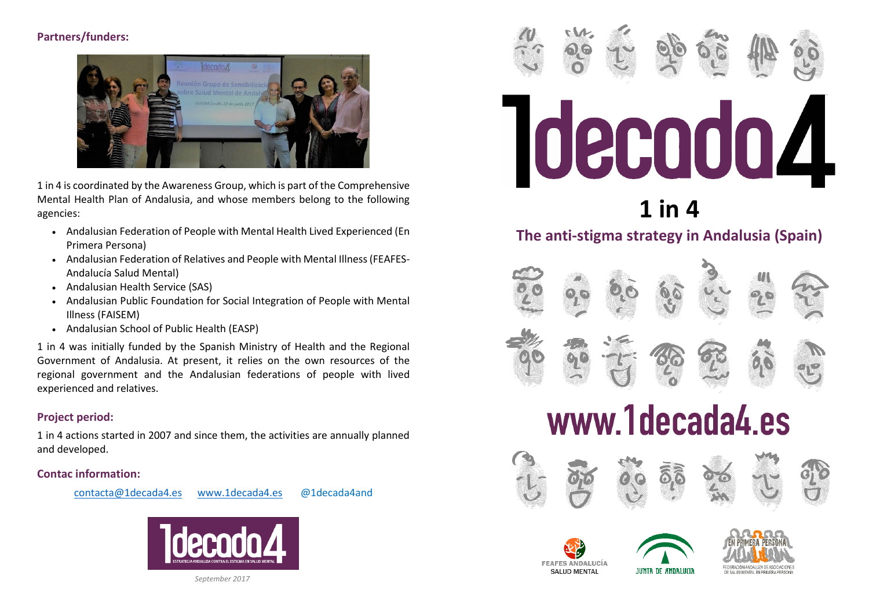# **Partners/funders:**



1 in 4 is coordinated by the Awareness Group, which is part of the Comprehensive Mental Health Plan of Andalusia, and whose members belong to the following agencies:

- Andalusian Federation of People with Mental Health Lived Experienced (En Primera Persona)
- Andalusian Federation of Relatives and People with Mental Illness (FEAFES-Andalucía Salud Mental)
- Andalusian Health Service (SAS)
- Andalusian Public Foundation for Social Integration of People with Mental Illness (FAISEM)
- Andalusian School of Public Health (EASP)

1 in 4 was initially funded by the Spanish Ministry of Health and the Regional Government of Andalusia. At present, it relies on the own resources of the regional government and the Andalusian federations of people with lived experienced and relatives.

# **Project period:**

1 in 4 actions started in 2007 and since them, the activities are annually planned and developed.

#### **Contac information:**





*September 2017*



# www.1decada4.es









JUNTA DE ANDALUCIA